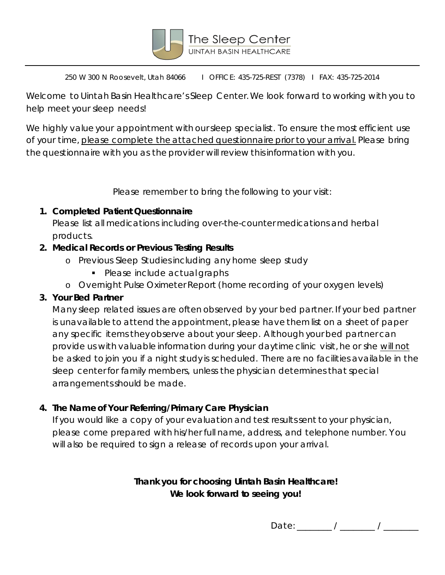

250 W 300 N Roosevelt, Utah 84066 I OFFICE: 435-725-REST (7378) I FAX: 435-725-2014

Welcome to Uintah Basin Healthcare's Sleep Center. We look forward to working with you to help meet your sleep needs!

We highly value your appointment with our sleep specialist. To ensure the most efficient use of your time, please complete the attached questionnaire prior to your arrival. Please bring the questionnaire with you as the provider will review this information with you.

Please remember to bring the following to your visit:

#### **1. Completed Patient Questionnaire**

Please list all medications including over-the-counter medications and herbal products.

#### **2. Medical Records or Previous Testing Results**

- o Previous Sleep Studies including any home sleep study
	- Please include actual graphs
- o Overnight Pulse Oximeter Report (home recording of your oxygen levels)

#### **3. Your Bed Partner**

Many sleep related issues are often observed by your bed partner. If your bed partner is unavailable to attend the appointment, please have them list on a sheet of paper any specific items they observe about your sleep. Although your bed partner can provide us with valuable information during your daytime clinic visit, he or she will not be asked to join you if a night study is scheduled. There are no facilities available in the sleep center for family members, unless the physician determines that special arrangements should be made.

#### **4. The Name of Your Referring/Primary Care Physician**

If you would like a copy of your evaluation and test results sent to your physician, please come prepared with his/her full name, address, and telephone number. You will also be required to sign a release of records upon your arrival.

> **Thank you for choosing Uintah Basin Healthcare! We look forward to seeing you!**

> > Date: \_\_\_\_\_\_\_ / \_\_\_\_\_\_ / \_\_\_\_\_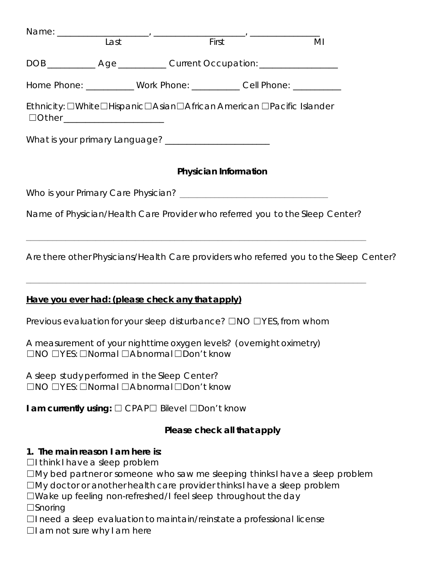|                                                                                        |  | Name: Last First Text Contains the Contact Contact Contact Contact Contact Contact Contact Contact Contact Contact Contact Contact Contact Contact Contact Contact Contact Contact Contact Contact Contact Contact Contact Con |  | MI |  |  |
|----------------------------------------------------------------------------------------|--|--------------------------------------------------------------------------------------------------------------------------------------------------------------------------------------------------------------------------------|--|----|--|--|
|                                                                                        |  | DOB ____________ Age ___________ Current Occupation: ___________________                                                                                                                                                       |  |    |  |  |
|                                                                                        |  | Home Phone: ____________ Work Phone: ___________ Cell Phone: ___________                                                                                                                                                       |  |    |  |  |
| $\Box$ Other $\_\_\_\_\_\_\_\_\_\_\_\_$                                                |  | Ethnicity: OWhiteOHispanicOAsianOAfrican American OPacific Islander                                                                                                                                                            |  |    |  |  |
|                                                                                        |  | What is your primary Language? ________________________                                                                                                                                                                        |  |    |  |  |
|                                                                                        |  | Physician Information                                                                                                                                                                                                          |  |    |  |  |
|                                                                                        |  |                                                                                                                                                                                                                                |  |    |  |  |
| Name of Physician/Health Care Provider who referred you to the Sleep Center?           |  |                                                                                                                                                                                                                                |  |    |  |  |
| Are there other Physicians/Health Care providers who referred you to the Sleep Center? |  |                                                                                                                                                                                                                                |  |    |  |  |
|                                                                                        |  | Have you ever had: (please check any that apply)                                                                                                                                                                               |  |    |  |  |
| Previous evaluation for your sleep disturbance? □NO □YES, from whom                    |  |                                                                                                                                                                                                                                |  |    |  |  |

A measurement of your nighttime oxygen levels? (overnight oximetry) ☐NO ☐YES: ☐Normal ☐Abnormal ☐Don't know

A sleep study performed in the Sleep Center? ☐NO ☐YES: ☐Normal ☐Abnormal ☐Don't know

**I am currently using:** □ CPAP□ Bilevel □Don't know

#### **Please check all that apply**

#### **1. The main reason I am here is:**

☐I think I have a sleep problem

☐My bed partner or someone who saw me sleeping thinks I have a sleep problem

☐My doctor or another health care provider thinks I have a sleep problem

☐Wake up feeling non-refreshed/I feel sleep throughout the day

☐Snoring

☐I need a sleep evaluation to maintain/reinstate a professional license

 $\Box$ I am not sure why I am here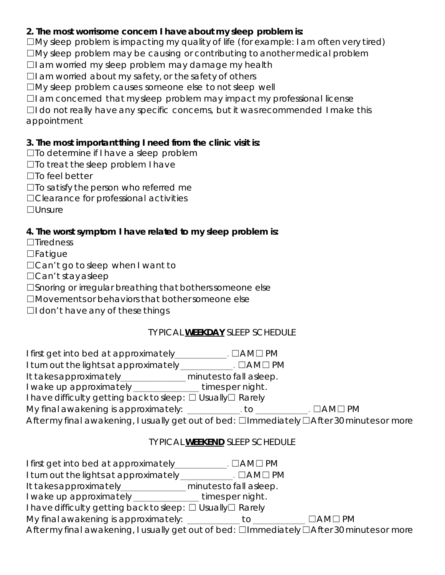#### **2. The most worrisome concern I have about my sleep problem is:**

 $\square$ My sleep problem is impacting my quality of life (for example: I am often very tired)

☐My sleep problem may be causing or contributing to another medical problem

☐I am worried my sleep problem may damage my health

 $\Box$ I am worried about my safety, or the safety of others

☐My sleep problem causes someone else to not sleep well

 $\Box$ I am concerned that my sleep problem may impact my professional license

 $\Box$ I do not really have any specific concerns, but it was recommended I make this appointment

#### **3. The most important thing I need from the clinic visit is:**

☐To determine if I have a sleep problem

☐To treat the sleep problem I have

☐To feel better

☐To satisfy the person who referred me

☐Clearance for professional activities

☐Unsure

#### **4. The worst symptom I have related to my sleep problem is:**

☐Tiredness

☐Fatigue

☐Can't go to sleep when I want to

☐Can't stay asleep

☐Snoring or irregular breathing that bothers someone else

☐Movements or behaviors that bother someone else

 $\Box$ I don't have any of these things

#### TYPICAL **WEEKDAY** SLEEP SCHEDULE

| I first get into bed at approximately__________<br>. $\Box$ AM $\Box$ PM |                                                                                           |
|--------------------------------------------------------------------------|-------------------------------------------------------------------------------------------|
| I turn out the lights at approximately_                                  |                                                                                           |
| minutes to fall asleep.                                                  |                                                                                           |
| I wake up approximately _____________times per night.                    |                                                                                           |
| I have difficulty getting back to sleep: □ Usually□ Rarely               |                                                                                           |
| My final awakening is approximately: ______________to                    | $\Box$ AM $\Box$ PM                                                                       |
|                                                                          | After my final awakening, I usually get out of bed: □Immediately□After 30 minutes or more |
|                                                                          |                                                                                           |

#### TYPICAL **WEEKEND** SLEEP SCHEDULE

| I first get into bed at approximately_                                                                                                                                                                                               | . $\Box$ AM $\Box$ PM   |                     |
|--------------------------------------------------------------------------------------------------------------------------------------------------------------------------------------------------------------------------------------|-------------------------|---------------------|
| I turn out the lights at approximately                                                                                                                                                                                               |                         |                     |
| It takes approximately                                                                                                                                                                                                               | minutes to fall asleep. |                     |
| I wake up approximately <b>way as a set of the set of the set of the set of the set of the set of the set of the set of the set of the set of the set of the set of the set of the set of the set of the set of the set of the s</b> | times per night.        |                     |
| I have difficulty getting back to sleep: □ Usually□ Rarely                                                                                                                                                                           |                         |                     |
| My final awakening is approximately: _______                                                                                                                                                                                         | to                      | $\Box$ AM $\Box$ PM |
| After my final awakening, I usually get out of bed: □Immediately □After 30 minutes or more                                                                                                                                           |                         |                     |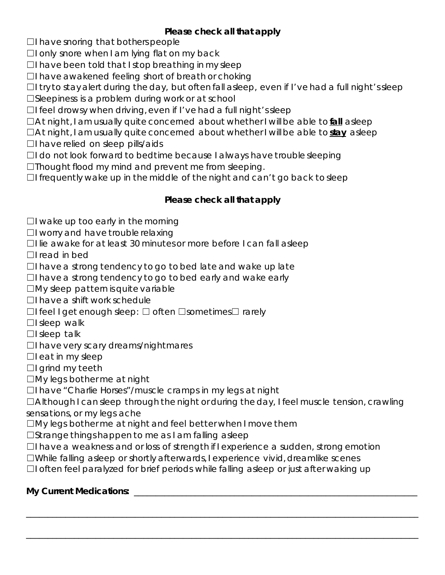### **Please check all that apply**

 $\Box$ I have snoring that bothers people

 $\Box$ I only snore when I am lying flat on my back

 $\Box$ I have been told that I stop breathing in my sleep

 $\Box$ I have awakened feeling short of breath or choking

 $\Box$ I try to stay alert during the day, but often fall asleep, even if I've had a full night's sleep

☐Sleepiness is a problem during work or at school

 $\Box$ I feel drowsy when driving, even if I've had a full night's sleep

☐At night, I am usually quite concerned about whether I will be able to **fall** asleep

☐At night, I am usually quite concerned about whether I will be able to **stay** asleep ☐I have relied on sleep pills/aids

☐I do not look forward to bedtime because I always have trouble sleeping

☐Thought flood my mind and prevent me from sleeping.

☐I frequently wake up in the middle of the night and can't go back to sleep

#### **Please check all that apply**

 $\Box$ I wake up too early in the morning

☐I worry and have trouble relaxing

☐I lie awake for at least 30 minutes or more before I can fall asleep

☐I read in bed

 $\Box$ I have a strong tendency to go to bed late and wake up late

 $\Box$ I have a strong tendency to go to bed early and wake early

 $\square$ My sleep pattern is quite variable

☐I have a shift work schedule

☐I feel I get enough sleep: ☐ often ☐sometimes☐ rarely

 $\Box$ I sleep walk

- $\Box$ I sleep talk
- ☐I have very scary dreams/nightmares

□I eat in my sleep

 $\Box$ I grind my teeth

☐My legs bother me at night

☐I have "Charlie Horses"/muscle cramps in my legs at night

 $\Box$ Although I can sleep through the night or during the day, I feel muscle tension, crawling sensations, or my legs ache

\_\_\_\_\_\_\_\_\_\_\_\_\_\_\_\_\_\_\_\_\_\_\_\_\_\_\_\_\_\_\_\_\_\_\_\_\_\_\_\_\_\_\_\_\_\_\_\_\_\_\_\_\_\_\_\_\_\_\_\_\_\_\_\_\_\_\_\_\_\_\_\_\_\_\_\_\_\_\_\_\_\_\_\_\_\_\_\_\_\_

\_\_\_\_\_\_\_\_\_\_\_\_\_\_\_\_\_\_\_\_\_\_\_\_\_\_\_\_\_\_\_\_\_\_\_\_\_\_\_\_\_\_\_\_\_\_\_\_\_\_\_\_\_\_\_\_\_\_\_\_\_\_\_\_\_\_\_\_\_\_\_\_\_\_\_\_\_\_\_\_\_\_\_\_\_\_\_\_\_\_

 $\square$ My legs bother me at night and feel better when I move them

☐Strange things happen to me as I am falling asleep

 $\Box$ I have a weakness and or loss of strength if I experience a sudden, strong emotion

☐While falling asleep or shortly afterwards, I experience vivid, dreamlike scenes

 $\Box$ I often feel paralyzed for brief periods while falling asleep or just after waking up

#### **My Current Medications: Medications Music**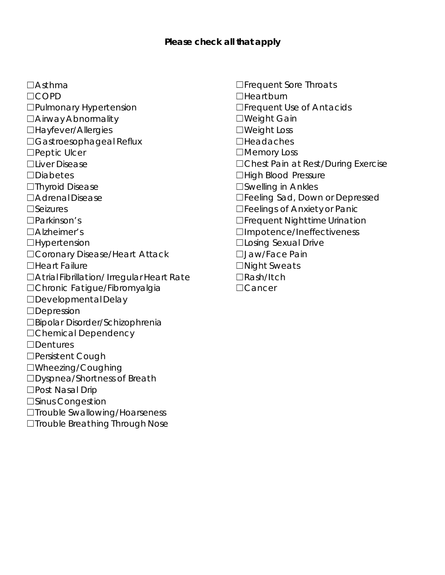#### **Please check all that apply**

 $\Box$ Asthma ☐COPD ☐Pulmonary Hypertension ☐Airway Abnormality ☐Hayfever/Allergies ☐Gastroesophageal Reflux ☐Peptic Ulcer ☐Liver Disease ☐Diabetes ☐Thyroid Disease ☐Adrenal Disease ☐Seizures ☐Parkinson's ☐Alzheimer's ☐Hypertension ☐Coronary Disease/Heart Attack ☐Heart Failure ☐Atrial Fibrillation/ Irregular Heart Rate ☐Chronic Fatigue/Fibromyalgia ☐Developmental Delay ☐Depression ☐Bipolar Disorder/Schizophrenia ☐Chemical Dependency ☐Dentures ☐Persistent Cough ☐Wheezing/Coughing ☐Dyspnea/Shortness of Breath ☐Post Nasal Drip ☐Sinus Congestion ☐Trouble Swallowing/Hoarseness ☐Trouble Breathing Through Nose

☐Frequent Sore Throats □Heartburn ☐Frequent Use of Antacids ☐Weight Gain ☐Weight Loss ☐Headaches ☐Memory Loss ☐Chest Pain at Rest/During Exercise ☐High Blood Pressure ☐Swelling in Ankles ☐Feeling Sad, Down or Depressed ☐Feelings of Anxiety or Panic ☐Frequent Nighttime Urination ☐Impotence/Ineffectiveness ☐Losing Sexual Drive ☐Jaw/Face Pain ☐Night Sweats ☐Rash/Itch ☐Cancer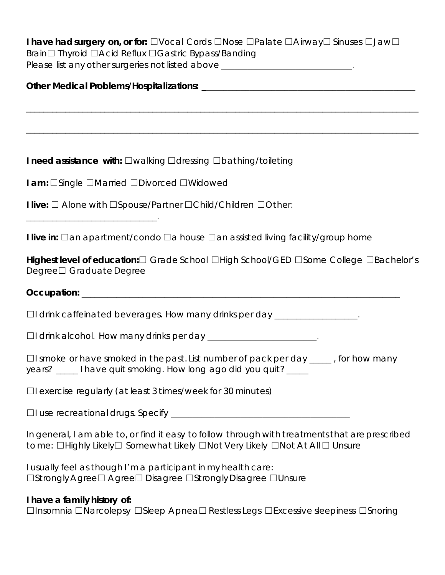| <b>I have had surgery on, or for:</b> $\square$ Vocal Cords $\square$ Nose $\square$ Palate $\square$ Airway $\square$ Sinuses $\square$ Jaw $\square$ |
|--------------------------------------------------------------------------------------------------------------------------------------------------------|
| Brain $\Box$ Thyroid $\Box$ Acid Reflux $\Box$ Gastric Bypass/Banding                                                                                  |
| Please list any other surgeries not listed above                                                                                                       |

| I need assistance with: □walking □dressing □bathing/toileting                                                                                                                  |  |  |  |  |  |
|--------------------------------------------------------------------------------------------------------------------------------------------------------------------------------|--|--|--|--|--|
| I am: □Single □Married □Divorced □Widowed                                                                                                                                      |  |  |  |  |  |
| I live: □ Alone with □ Spouse/Partner □ Child/Children □ Other:                                                                                                                |  |  |  |  |  |
| <u> 1989 - Johann John Stein, meil am der Stein am der Stein am der Stein am der Stein am der Stein am der Stein</u>                                                           |  |  |  |  |  |
| I live in: $\Box$ an apartment/condo $\Box$ a house $\Box$ an assisted living facility/group home                                                                              |  |  |  |  |  |
| Degree <sup>[1]</sup> Graduate Degree                                                                                                                                          |  |  |  |  |  |
|                                                                                                                                                                                |  |  |  |  |  |
| □ drink caffeinated beverages. How many drinks per day __________________.                                                                                                     |  |  |  |  |  |
| □I drink alcohol. How many drinks per day _________________________.                                                                                                           |  |  |  |  |  |
| $\Box$ I smoke or have smoked in the past. List number of pack per day $\Box$ , for how many<br>years? ____ I have quit smoking. How long ago did you quit? ____               |  |  |  |  |  |
| $\Box$ exercise regularly (at least 3 times/week for 30 minutes)                                                                                                               |  |  |  |  |  |
|                                                                                                                                                                                |  |  |  |  |  |
| In general, I am able to, or find it easy to follow through with treatments that are prescribed<br>tome: □Highly Likely□ Somewhat Likely □Not Very Likely □Not At All □ Unsure |  |  |  |  |  |
| I usually feel as though I'm a participant in my health care:                                                                                                                  |  |  |  |  |  |

# **I have a family history of:**

☐Insomnia ☐Narcolepsy ☐Sleep Apnea☐ Restless Legs ☐Excessive sleepiness ☐Snoring

☐Strongly Agree☐ Agree☐ Disagree ☐Strongly Disagree ☐Unsure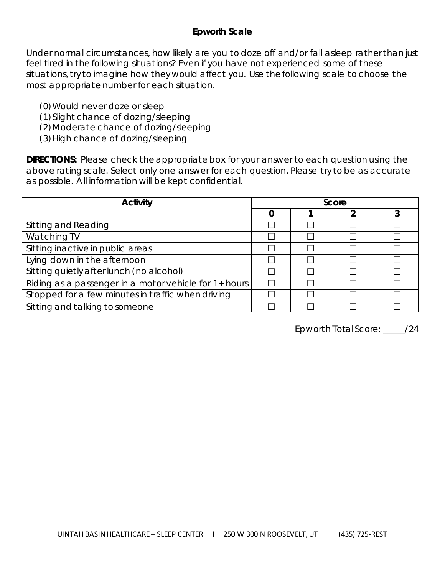#### **Epworth Scale**

Under normal circumstances, how likely are you to doze off and/or fall asleep rather than just feel tired in the following situations? Even if you have not experienced some of these situations, try to imagine how they would affect you. Use the following scale to choose the most appropriate number for each situation.

- (0)Would never doze or sleep
- (1) Slight chance of dozing/sleeping
- (2)Moderate chance of dozing/sleeping
- (3)High chance of dozing/sleeping

**DIRECTIONS:** Please check the appropriate box for your answer to each question using the above rating scale. Select only one answer for each question. Please try to be as accurate as possible. All information will be kept confidential.

| <b>Activity</b>                                       |  | Score |  |  |  |  |
|-------------------------------------------------------|--|-------|--|--|--|--|
|                                                       |  |       |  |  |  |  |
| Sitting and Reading                                   |  |       |  |  |  |  |
| Watching TV                                           |  |       |  |  |  |  |
| Sitting inactive in public areas                      |  |       |  |  |  |  |
| Lying down in the afternoon                           |  |       |  |  |  |  |
| Sitting quietly after lunch (no alcohol)              |  |       |  |  |  |  |
| Riding as a passenger in a motor vehicle for 1+ hours |  |       |  |  |  |  |
| Stopped for a few minutes in traffic when driving     |  |       |  |  |  |  |
| Sitting and talking to someone                        |  |       |  |  |  |  |

Epworth Total Score: \_\_\_\_\_/24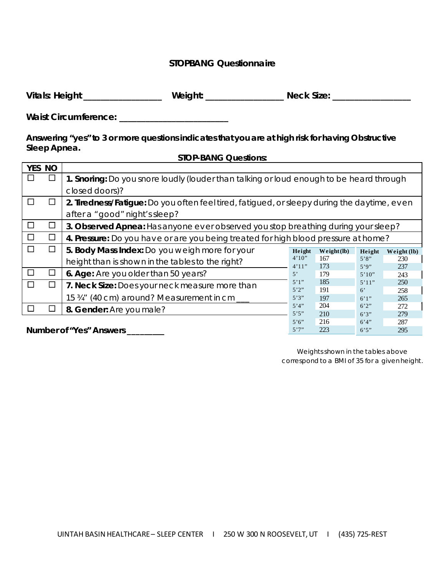#### **STOPBANG Questionnaire**

| Vitals:<br>Height | w | ּ∽י<br>Ned<br>$\sim$ $\sim$<br>JILE.<br>. . в. |
|-------------------|---|------------------------------------------------|
|-------------------|---|------------------------------------------------|

**Waist Circumference: \_\_\_\_\_\_\_\_\_\_\_\_\_\_\_\_\_\_\_\_\_\_\_\_\_**

**Answering "yes" to 3 or more questions indicates that you are at high risk for having Obstructive Sleep Apnea. STOP-BANG Questions:**

| YES NO |                                                                                             |             |               |             |             |
|--------|---------------------------------------------------------------------------------------------|-------------|---------------|-------------|-------------|
|        | 1. Snoring: Do you snore loudly (louder than talking or loud enough to be heard through     |             |               |             |             |
|        | closed doors)?                                                                              |             |               |             |             |
|        | 2. Tiredness/Fatique: Do you often feel tired, fatigued, or sleepy during the daytime, even |             |               |             |             |
|        | after a "good" night's sleep?                                                               |             |               |             |             |
|        | 3. Observed Apnea: Has anyone ever observed you stop breathing during your sleep?           |             |               |             |             |
|        | 4. Pressure: Do you have or are you being treated for high blood pressure at home?          |             |               |             |             |
|        | 5. Body Mass Index: Do you weigh more for your                                              | Height      | $We ight(1b)$ | Height      | Weight (lb) |
|        | height than is shown in the tables to the right?                                            | 4'10''      | 167           | 5'8''       | 230         |
|        |                                                                                             | 4'11''      | 173           | 5'9''       | 237         |
|        | 6. Age: Are you older than 50 years?                                                        | $5^{\circ}$ | 179           | 5'10''      | 243         |
|        | 7. Neck Size: Does your neck measure more than                                              | 5'1''       | 185           | 5'11''      | <b>250</b>  |
|        |                                                                                             | 5'2''       | 191           | $6^{\circ}$ | 258         |
|        | 15 34" (40 cm) around? Measurement in cm                                                    | 5'3''       | 197           | 6'1''       | 265         |
|        | 8. Gender: Are you male?                                                                    | 5'4''       | 204           | 6'2''       | 272         |
|        |                                                                                             | 5'5''       | 210           | 6'3''       | 279         |
|        |                                                                                             | 5'6''       | 216           | 6'4''       | 287         |

**Number of "Yes" Answers \_\_\_\_\_\_\_\_\_**

*Weights shown in the tables above correspond to a BMI of 35 for a given height.*

6'5" 295

 $5'7"$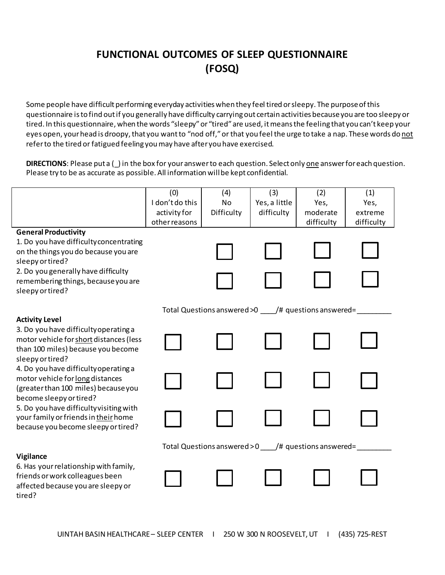## **FUNCTIONAL OUTCOMES OF SLEEP QUESTIONNAIRE (FOSQ)**

Some people have difficult performing everyday activities when they feel tired or sleepy. The purpose of this questionnaire is to find out if you generally have difficulty carrying out certain activities because you are too sleepy or tired. In this questionnaire, when the words "sleepy" or "tired" are used, it means the feeling that you can't keep your eyes open, your head is droopy, that you want to "nod off," or that you feel the urge to take a nap. These words do not refer to the tired or fatigued feeling you may have after you have exercised.

**DIRECTIONS**: Please put a (\_) in the box for your answer to each question. Select only one answer for each question. Please try to be as accurate as possible. All information will be kept confidential.

| <b>General Productivity</b><br>1. Do you have difficulty concentrating                                                                                              | (0)<br>I don't do this<br>activity for<br>other reasons | (4)<br><b>No</b><br>Difficulty | (3)<br>Yes, a little<br>difficulty | (2)<br>Yes,<br>moderate<br>difficulty                    | (1)<br>Yes,<br>extreme<br>difficulty |
|---------------------------------------------------------------------------------------------------------------------------------------------------------------------|---------------------------------------------------------|--------------------------------|------------------------------------|----------------------------------------------------------|--------------------------------------|
| on the things you do because you are<br>sleepy or tired?<br>2. Do you generally have difficulty<br>remembering things, because you are<br>sleepy or tired?          |                                                         |                                |                                    |                                                          |                                      |
|                                                                                                                                                                     |                                                         |                                |                                    | Total Questions answered >0 _____ /# questions answered= |                                      |
| <b>Activity Level</b><br>3. Do you have difficulty operating a<br>motor vehicle for short distances (less<br>than 100 miles) because you become<br>sleepy or tired? |                                                         |                                |                                    |                                                          |                                      |
| 4. Do you have difficulty operating a<br>motor vehicle for long distances<br>(greater than 100 miles) because you<br>become sleepy or tired?                        |                                                         |                                |                                    |                                                          |                                      |
| 5. Do you have difficulty visiting with<br>your family or friends in their home<br>because you become sleepy or tired?                                              |                                                         |                                |                                    |                                                          |                                      |
|                                                                                                                                                                     |                                                         |                                |                                    | Total Questions answered > 0 /# questions answered=      |                                      |
| Vigilance<br>6. Has your relationship with family,<br>friends or work colleagues been<br>affected because you are sleepy or<br>tired?                               |                                                         |                                |                                    |                                                          |                                      |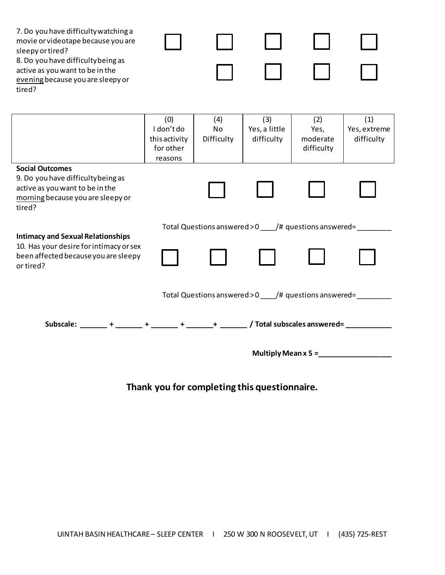

٦

|                                                                                                                                                | $\sqrt{2}$<br>I don't do<br>this activity<br>for other<br>reasons | $\mathbf{U}$<br>No<br>Difficulty | $\sim$<br>Yes, a little<br>difficulty | $(-)$<br>Yes,<br>moderate<br>difficulty             | $(1 - 1)$<br>Yes, extreme<br>difficulty |
|------------------------------------------------------------------------------------------------------------------------------------------------|-------------------------------------------------------------------|----------------------------------|---------------------------------------|-----------------------------------------------------|-----------------------------------------|
| <b>Social Outcomes</b><br>9. Do you have difficulty being as<br>active as you want to be in the<br>morning because you are sleepy or<br>tired? |                                                                   |                                  |                                       |                                                     |                                         |
| <b>Intimacy and Sexual Relationships</b><br>10. Has your desire for intimacy or sex<br>been affected because you are sleepy<br>or tired?       |                                                                   |                                  |                                       | Total Questions answered > 0 /# questions answered= |                                         |
|                                                                                                                                                |                                                                   |                                  |                                       | Total Questions answered > 0 /# questions answered= |                                         |
|                                                                                                                                                |                                                                   |                                  |                                       |                                                     |                                         |
|                                                                                                                                                |                                                                   |                                  | Multiply Mean $x$ 5 =                 |                                                     |                                         |

#### **Thank you for completing this questionnaire.**